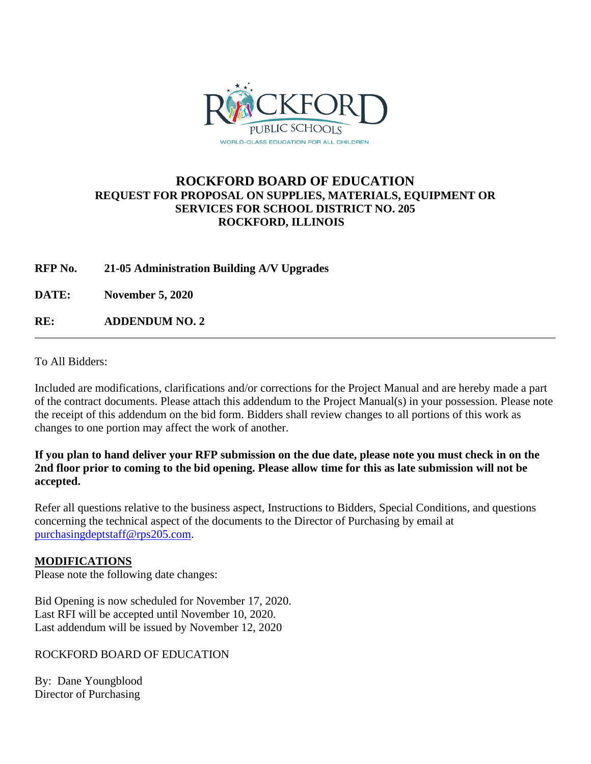

## **ROCKFORD BOARD OF EDUCATION REQUEST FOR PROPOSAL ON SUPPLIES, MATERIALS, EQUIPMENT OR SERVICES FOR SCHOOL DISTRICT NO. 205 ROCKFORD, ILLINOIS**

**RFP No. 21-05 Administration Building A/V Upgrades**

**DATE: November 5, 2020**

**RE: ADDENDUM NO. 2**

To All Bidders:

Included are modifications, clarifications and/or corrections for the Project Manual and are hereby made a part of the contract documents. Please attach this addendum to the Project Manual(s) in your possession. Please note the receipt of this addendum on the bid form. Bidders shall review changes to all portions of this work as changes to one portion may affect the work of another.

**If you plan to hand deliver your RFP submission on the due date, please note you must check in on the 2nd floor prior to coming to the bid opening. Please allow time for this as late submission will not be accepted.**

Refer all questions relative to the business aspect, Instructions to Bidders, Special Conditions, and questions concerning the technical aspect of the documents to the Director of Purchasing by email at [purchasingdeptstaff@rps205.com.](mailto:purchasingdeptstaff@rps205.com)

### **MODIFICATIONS**

Please note the following date changes:

Bid Opening is now scheduled for November 17, 2020. Last RFI will be accepted until November 10, 2020. Last addendum will be issued by November 12, 2020

ROCKFORD BOARD OF EDUCATION

By: Dane Youngblood Director of Purchasing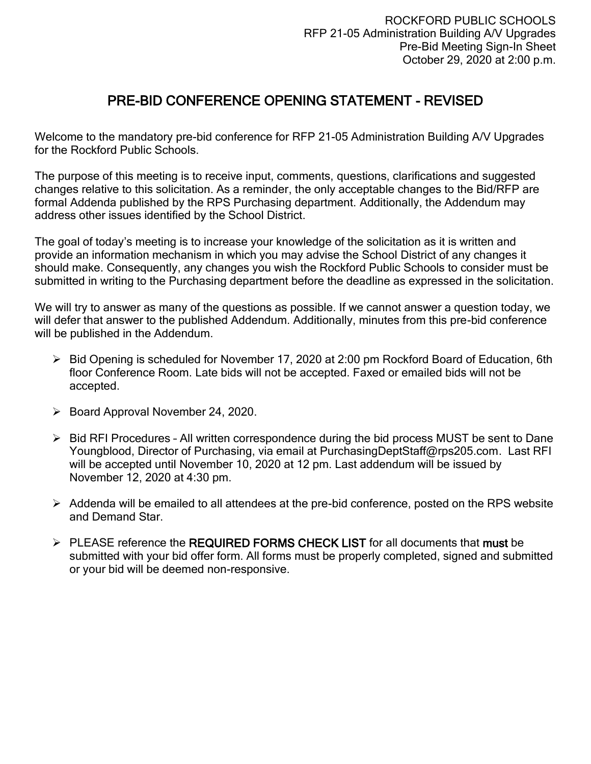# PRE-BID CONFERENCE OPENING STATEMENT - REVISED

Welcome to the mandatory pre-bid conference for RFP 21-05 Administration Building A/V Upgrades for the Rockford Public Schools.

The purpose of this meeting is to receive input, comments, questions, clarifications and suggested changes relative to this solicitation. As a reminder, the only acceptable changes to the Bid/RFP are formal Addenda published by the RPS Purchasing department. Additionally, the Addendum may address other issues identified by the School District.

The goal of today's meeting is to increase your knowledge of the solicitation as it is written and provide an information mechanism in which you may advise the School District of any changes it should make. Consequently, any changes you wish the Rockford Public Schools to consider must be submitted in writing to the Purchasing department before the deadline as expressed in the solicitation.

We will try to answer as many of the questions as possible. If we cannot answer a question today, we will defer that answer to the published Addendum. Additionally, minutes from this pre-bid conference will be published in the Addendum.

- ➢ Bid Opening is scheduled for November 17, 2020 at 2:00 pm Rockford Board of Education, 6th floor Conference Room. Late bids will not be accepted. Faxed or emailed bids will not be accepted.
- ➢ Board Approval November 24, 2020.
- ➢ Bid RFI Procedures All written correspondence during the bid process MUST be sent to Dane Youngblood, Director of Purchasing, via email at PurchasingDeptStaff@rps205.com. Last RFI will be accepted until November 10, 2020 at 12 pm. Last addendum will be issued by November 12, 2020 at 4:30 pm.
- ➢ Addenda will be emailed to all attendees at the pre-bid conference, posted on the RPS website and Demand Star.
- $\triangleright$  PLEASE reference the REQUIRED FORMS CHECK LIST for all documents that must be submitted with your bid offer form. All forms must be properly completed, signed and submitted or your bid will be deemed non-responsive.